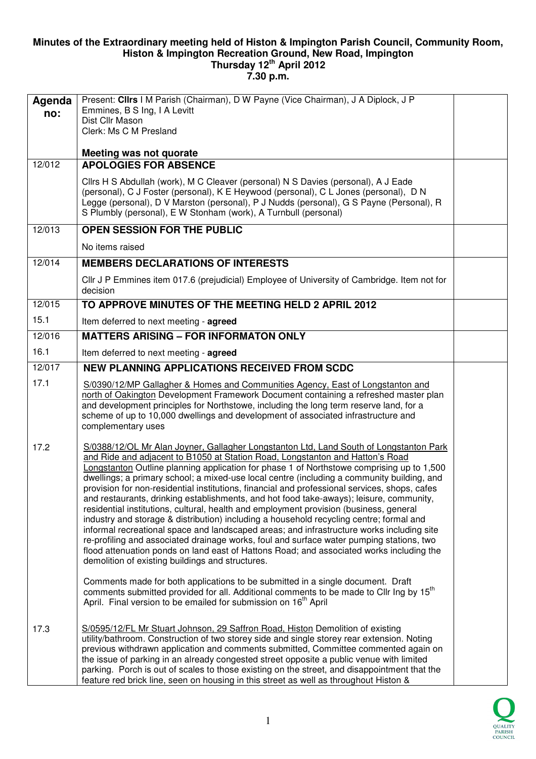## **Minutes of the Extraordinary meeting held of Histon & Impington Parish Council, Community Room, Histon & Impington Recreation Ground, New Road, Impington Thursday 12th April 2012**

**7.30 p.m.** 

| Agenda<br>no: | Present: Clirs I M Parish (Chairman), D W Payne (Vice Chairman), J A Diplock, J P<br>Emmines, B S Ing, I A Levitt<br>Dist Cllr Mason<br>Clerk: Ms C M Presland                                                                                                                                                                                                                                                                                                                                                                                                                                                                                                                                                                                                                                                                                                                                                                                                                                                                                                                                                                                                                                                                                                                         |  |
|---------------|----------------------------------------------------------------------------------------------------------------------------------------------------------------------------------------------------------------------------------------------------------------------------------------------------------------------------------------------------------------------------------------------------------------------------------------------------------------------------------------------------------------------------------------------------------------------------------------------------------------------------------------------------------------------------------------------------------------------------------------------------------------------------------------------------------------------------------------------------------------------------------------------------------------------------------------------------------------------------------------------------------------------------------------------------------------------------------------------------------------------------------------------------------------------------------------------------------------------------------------------------------------------------------------|--|
| 12/012        | Meeting was not quorate<br><b>APOLOGIES FOR ABSENCE</b>                                                                                                                                                                                                                                                                                                                                                                                                                                                                                                                                                                                                                                                                                                                                                                                                                                                                                                                                                                                                                                                                                                                                                                                                                                |  |
|               | Cllrs H S Abdullah (work), M C Cleaver (personal) N S Davies (personal), A J Eade<br>(personal), C J Foster (personal), K E Heywood (personal), C L Jones (personal), D N<br>Legge (personal), D V Marston (personal), P J Nudds (personal), G S Payne (Personal), R<br>S Plumbly (personal), E W Stonham (work), A Turnbull (personal)                                                                                                                                                                                                                                                                                                                                                                                                                                                                                                                                                                                                                                                                                                                                                                                                                                                                                                                                                |  |
| 12/013        | <b>OPEN SESSION FOR THE PUBLIC</b>                                                                                                                                                                                                                                                                                                                                                                                                                                                                                                                                                                                                                                                                                                                                                                                                                                                                                                                                                                                                                                                                                                                                                                                                                                                     |  |
|               | No items raised                                                                                                                                                                                                                                                                                                                                                                                                                                                                                                                                                                                                                                                                                                                                                                                                                                                                                                                                                                                                                                                                                                                                                                                                                                                                        |  |
| 12/014        | <b>MEMBERS DECLARATIONS OF INTERESTS</b>                                                                                                                                                                                                                                                                                                                                                                                                                                                                                                                                                                                                                                                                                                                                                                                                                                                                                                                                                                                                                                                                                                                                                                                                                                               |  |
|               | CIIr J P Emmines item 017.6 (prejudicial) Employee of University of Cambridge. Item not for<br>decision                                                                                                                                                                                                                                                                                                                                                                                                                                                                                                                                                                                                                                                                                                                                                                                                                                                                                                                                                                                                                                                                                                                                                                                |  |
| 12/015        | TO APPROVE MINUTES OF THE MEETING HELD 2 APRIL 2012                                                                                                                                                                                                                                                                                                                                                                                                                                                                                                                                                                                                                                                                                                                                                                                                                                                                                                                                                                                                                                                                                                                                                                                                                                    |  |
| 15.1          | Item deferred to next meeting - agreed                                                                                                                                                                                                                                                                                                                                                                                                                                                                                                                                                                                                                                                                                                                                                                                                                                                                                                                                                                                                                                                                                                                                                                                                                                                 |  |
| 12/016        | <b>MATTERS ARISING - FOR INFORMATON ONLY</b>                                                                                                                                                                                                                                                                                                                                                                                                                                                                                                                                                                                                                                                                                                                                                                                                                                                                                                                                                                                                                                                                                                                                                                                                                                           |  |
| 16.1          | Item deferred to next meeting - agreed                                                                                                                                                                                                                                                                                                                                                                                                                                                                                                                                                                                                                                                                                                                                                                                                                                                                                                                                                                                                                                                                                                                                                                                                                                                 |  |
| 12/017        | <b>NEW PLANNING APPLICATIONS RECEIVED FROM SCDC</b>                                                                                                                                                                                                                                                                                                                                                                                                                                                                                                                                                                                                                                                                                                                                                                                                                                                                                                                                                                                                                                                                                                                                                                                                                                    |  |
| 17.1          | S/0390/12/MP Gallagher & Homes and Communities Agency, East of Longstanton and<br>north of Oakington Development Framework Document containing a refreshed master plan<br>and development principles for Northstowe, including the long term reserve land, for a<br>scheme of up to 10,000 dwellings and development of associated infrastructure and<br>complementary uses                                                                                                                                                                                                                                                                                                                                                                                                                                                                                                                                                                                                                                                                                                                                                                                                                                                                                                            |  |
| 17.2          | S/0388/12/OL Mr Alan Joyner, Gallagher Longstanton Ltd, Land South of Longstanton Park<br>and Ride and adjacent to B1050 at Station Road, Longstanton and Hatton's Road<br>Longstanton Outline planning application for phase 1 of Northstowe comprising up to 1,500<br>dwellings; a primary school; a mixed-use local centre (including a community building, and<br>provision for non-residential institutions, financial and professional services, shops, cafes<br>and restaurants, drinking establishments, and hot food take-aways); leisure, community,<br>residential institutions, cultural, health and employment provision (business, general<br>industry and storage & distribution) including a household recycling centre; formal and<br>informal recreational space and landscaped areas; and infrastructure works including site<br>re-profiling and associated drainage works, foul and surface water pumping stations, two<br>flood attenuation ponds on land east of Hattons Road; and associated works including the<br>demolition of existing buildings and structures.<br>Comments made for both applications to be submitted in a single document. Draft<br>comments submitted provided for all. Additional comments to be made to Cllr Ing by 15 <sup>th</sup> |  |
| 17.3          | April. Final version to be emailed for submission on 16 <sup>th</sup> April<br>S/0595/12/FL Mr Stuart Johnson, 29 Saffron Road, Histon Demolition of existing<br>utility/bathroom. Construction of two storey side and single storey rear extension. Noting<br>previous withdrawn application and comments submitted, Committee commented again on<br>the issue of parking in an already congested street opposite a public venue with limited<br>parking. Porch is out of scales to those existing on the street, and disappointment that the<br>feature red brick line, seen on housing in this street as well as throughout Histon &                                                                                                                                                                                                                                                                                                                                                                                                                                                                                                                                                                                                                                                |  |